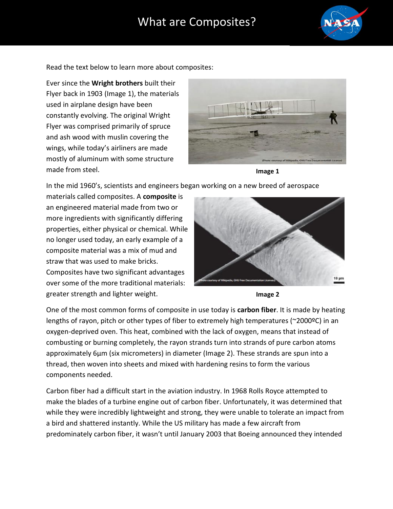## What are Composites?



Read the text below to learn more about composites:

Ever since the **Wright brothers** built their Flyer back in 1903 (Image 1), the materials used in airplane design have been constantly evolving. The original Wright Flyer was comprised primarily of spruce and ash wood with muslin covering the wings, while today's airliners are made mostly of aluminum with some structure made from steel.





In the mid 1960's, scientists and engineers began working on a new breed of aerospace

materials called composites. A **composite** is an engineered material made from two or more ingredients with significantly differing properties, either physical or chemical. While no longer used today, an early example of a composite material was a mix of mud and straw that was used to make bricks. Composites have two significant advantages over some of the more traditional materials: greater strength and lighter weight.





One of the most common forms of composite in use today is **carbon fiber**. It is made by heating lengths of rayon, pitch or other types of fiber to extremely high temperatures (~2000ºC) in an oxygen-deprived oven. This heat, combined with the lack of oxygen, means that instead of combusting or burning completely, the rayon strands turn into strands of pure carbon atoms approximately 6μm (six micrometers) in diameter (Image 2). These strands are spun into a thread, then woven into sheets and mixed with hardening resins to form the various components needed.

Carbon fiber had a difficult start in the aviation industry. In 1968 Rolls Royce attempted to make the blades of a turbine engine out of carbon fiber. Unfortunately, it was determined that while they were incredibly lightweight and strong, they were unable to tolerate an impact from a bird and shattered instantly. While the US military has made a few aircraft from predominately carbon fiber, it wasn't until January 2003 that Boeing announced they intended